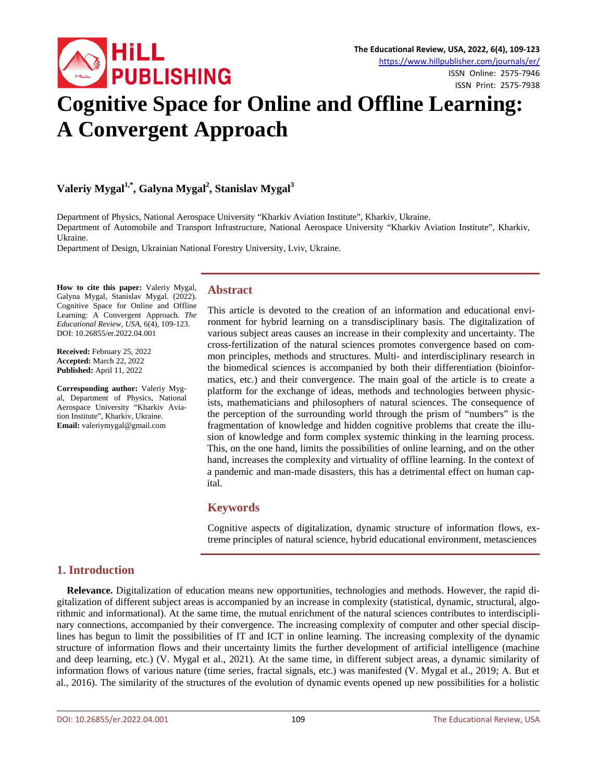

ISSN Print: 2575-7938

# **Cognitive Space for Online and Offline Learning: A Convergent Approach**

# **Valeriy Mygal1,\*, Galyna Mygal2 , Stanislav Mygal<sup>3</sup>**

Department of Physics, National Aerospace University "Kharkiv Aviation Institute", Kharkiv, Ukraine. Department of Automobile and Transport Infrastructure, National Aerospace University "Kharkiv Aviation Institute", Kharkiv, Ukraine.

Department of Design, Ukrainian National Forestry University, Lviv, Ukraine.

**How to cite this paper:** Valeriy Mygal, Galyna Mygal, Stanislav Mygal. (2022). Cognitive Space for Online and Offline Learning: A Convergent Approach. *The Educational Review, USA*, 6(4), 109-123. DOI: 10.26855/er.2022.04.001

**Received:** February 25, 2022 **Accepted:** March 22, 2022 **Published:** April 11, 2022

**Corresponding author:** Valeriy Mygal, Department of Physics, National Aerospace University "Kharkiv Aviation Institute", Kharkiv, Ukraine. **Email:** valeriymygal@gmail.com

#### **Abstract**

This article is devoted to the creation of an information and educational environment for hybrid learning on a transdisciplinary basis. The digitalization of various subject areas causes an increase in their complexity and uncertainty. The cross-fertilization of the natural sciences promotes convergence based on common principles, methods and structures. Multi- and interdisciplinary research in the biomedical sciences is accompanied by both their differentiation (bioinformatics, etc.) and their convergence. The main goal of the article is to create a platform for the exchange of ideas, methods and technologies between physicists, mathematicians and philosophers of natural sciences. The consequence of the perception of the surrounding world through the prism of "numbers" is the fragmentation of knowledge and hidden cognitive problems that create the illusion of knowledge and form complex systemic thinking in the learning process. This, on the one hand, limits the possibilities of online learning, and on the other hand, increases the complexity and virtuality of offline learning. In the context of a pandemic and man-made disasters, this has a detrimental effect on human capital.

#### **Keywords**

Cognitive aspects of digitalization, dynamic structure of information flows, extreme principles of natural science, hybrid educational environment, metasciences

# **1. Introduction**

**Relevance.** Digitalization of education means new opportunities, technologies and methods. However, the rapid digitalization of different subject areas is accompanied by an increase in complexity (statistical, dynamic, structural, algorithmic and informational). At the same time, the mutual enrichment of the natural sciences contributes to interdisciplinary connections, accompanied by their convergence. The increasing complexity of computer and other special disciplines has begun to limit the possibilities of IT and ICT in online learning. The increasing complexity of the dynamic structure of information flows and their uncertainty limits the further development of artificial intelligence (machine and deep learning, etc.) (V. Mygal et al., 2021). At the same time, in different subject areas, a dynamic similarity of information flows of various nature (time series, fractal signals, etc.) was manifested (V. Mygal et al., 2019; А. But et al., 2016). The similarity of the structures of the evolution of dynamic events opened up new possibilities for a holistic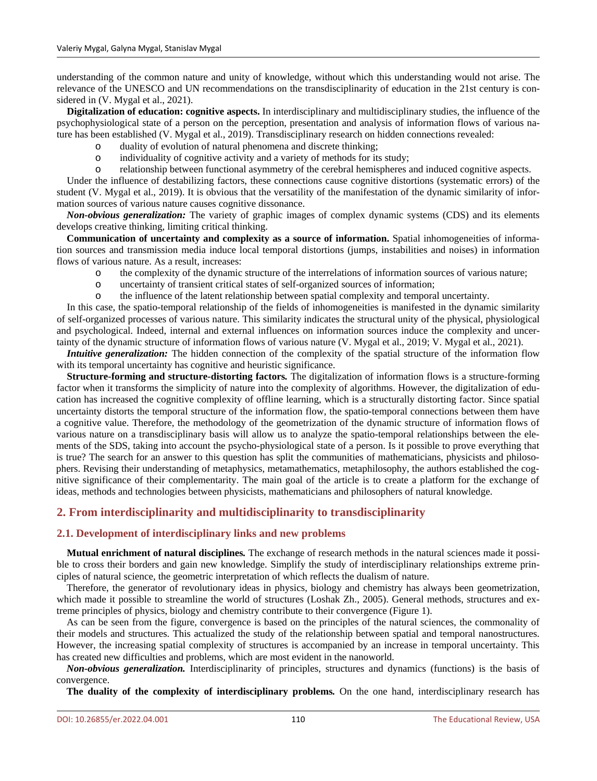understanding of the common nature and unity of knowledge, without which this understanding would not arise. The relevance of the UNESCO and UN recommendations on the transdisciplinarity of education in the 21st century is considered in (V. Mygal et al., 2021).

**Digitalization of education: cognitive aspects.** In interdisciplinary and multidisciplinary studies, the influence of the psychophysiological state of a person on the perception, presentation and analysis of information flows of various nature has been established (V. Mygal et al., 2019). Transdisciplinary research on hidden connections revealed:

- o duality of evolution of natural phenomena and discrete thinking;
- o individuality of cognitive activity and a variety of methods for its study;
- relationship between functional asymmetry of the cerebral hemispheres and induced cognitive aspects.

Under the influence of destabilizing factors, these connections cause cognitive distortions (systematic errors) of the student (V. Mygal et al., 2019). It is obvious that the versatility of the manifestation of the dynamic similarity of information sources of various nature causes cognitive dissonance.

*Non-obvious generalization:* The variety of graphic images of complex dynamic systems (CDS) and its elements develops creative thinking, limiting critical thinking.

**Communication of uncertainty and complexity as a source of information.** Spatial inhomogeneities of information sources and transmission media induce local temporal distortions (jumps, instabilities and noises) in information flows of various nature. As a result, increases:

- o the complexity of the dynamic structure of the interrelations of information sources of various nature;<br>o uncertainty of transient critical states of self-organized sources of information:
- uncertainty of transient critical states of self-organized sources of information;
- o the influence of the latent relationship between spatial complexity and temporal uncertainty.

In this case, the spatio-temporal relationship of the fields of inhomogeneities is manifested in the dynamic similarity of self-organized processes of various nature. This similarity indicates the structural unity of the physical, physiological and psychological. Indeed, internal and external influences on information sources induce the complexity and uncertainty of the dynamic structure of information flows of various nature (V. Mygal et al., 2019; V. Mygal et al., 2021).

*Intuitive generalization:* The hidden connection of the complexity of the spatial structure of the information flow with its temporal uncertainty has cognitive and heuristic significance.

**Structure-forming and structure-distorting factors***.* The digitalization of information flows is a structure-forming factor when it transforms the simplicity of nature into the complexity of algorithms. However, the digitalization of education has increased the cognitive complexity of offline learning, which is a structurally distorting factor. Since spatial uncertainty distorts the temporal structure of the information flow, the spatio-temporal connections between them have a cognitive value. Therefore, the methodology of the geometrization of the dynamic structure of information flows of various nature on a transdisciplinary basis will allow us to analyze the spatio-temporal relationships between the elements of the SDS, taking into account the psycho-physiological state of a person. Is it possible to prove everything that is true? The search for an answer to this question has split the communities of mathematicians, physicists and philosophers. Revising their understanding of metaphysics, metamathematics, metaphilosophy, the authors established the cognitive significance of their complementarity. The main goal of the article is to create a platform for the exchange of ideas, methods and technologies between physicists, mathematicians and philosophers of natural knowledge.

# **2. From interdisciplinarity and multidisciplinarity to transdisciplinarity**

#### **2.1. Development of interdisciplinary links and new problems**

**Mutual enrichment of natural disciplines***.* The exchange of research methods in the natural sciences made it possible to cross their borders and gain new knowledge. Simplify the study of interdisciplinary relationships extreme principles of natural science, the geometric interpretation of which reflects the dualism of nature.

Therefore, the generator of revolutionary ideas in physics, biology and chemistry has always been geometrization, which made it possible to streamline the world of structures (Loshak Zh., 2005). General methods, structures and extreme principles of physics, biology and chemistry contribute to their convergence (Figure 1).

As can be seen from the figure, convergence is based on the principles of the natural sciences, the commonality of their models and structures. This actualized the study of the relationship between spatial and temporal nanostructures. However, the increasing spatial complexity of structures is accompanied by an increase in temporal uncertainty. This has created new difficulties and problems, which are most evident in the nanoworld.

*Non-obvious generalization.* Interdisciplinarity of principles, structures and dynamics (functions) is the basis of convergence.

**The duality of the complexity of interdisciplinary problems***.* On the one hand, interdisciplinary research has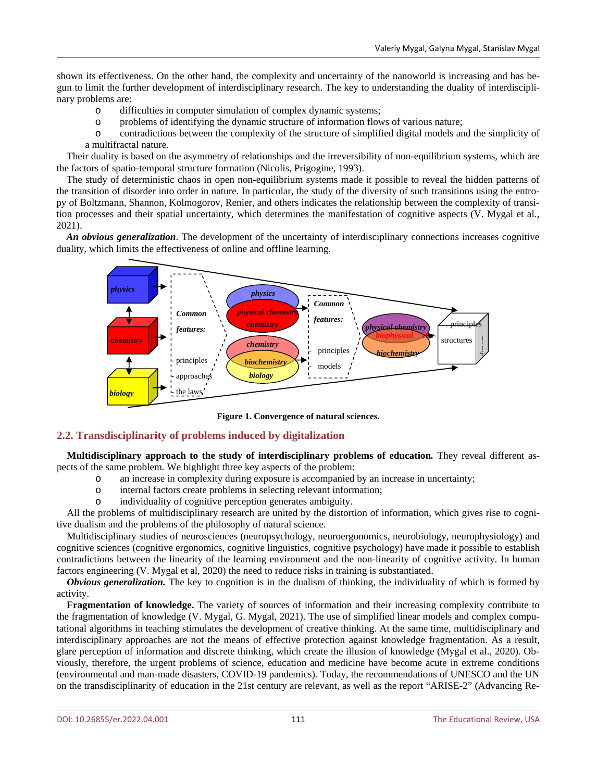shown its effectiveness. On the other hand, the complexity and uncertainty of the nanoworld is increasing and has begun to limit the further development of interdisciplinary research. The key to understanding the duality of interdisciplinary problems are:

- o difficulties in computer simulation of complex dynamic systems;
- o problems of identifying the dynamic structure of information flows of various nature;
- o contradictions between the complexity of the structure of simplified digital models and the simplicity of a multifractal nature.

Their duality is based on the asymmetry of relationships and the irreversibility of non-equilibrium systems, which are the factors of spatio-temporal structure formation (Nicolis, Prigogine, 1993).

The study of deterministic chaos in open non-equilibrium systems made it possible to reveal the hidden patterns of the transition of disorder into order in nature. In particular, the study of the diversity of such transitions using the entropy of Boltzmann, Shannon, Kolmogorov, Renier, and others indicates the relationship between the complexity of transition processes and their spatial uncertainty, which determines the manifestation of cognitive aspects (V. Mygal et al., 2021).

*An obvious generalization*. The development of the uncertainty of interdisciplinary connections increases cognitive duality, which limits the effectiveness of online and offline learning.



**Figure 1. Convergence of natural sciences.**

# **2.2. Transdisciplinarity of problems induced by digitalization**

**Multidisciplinary approach to the study of interdisciplinary problems of education***.* They reveal different aspects of the same problem. We highlight three key aspects of the problem:

- o an increase in complexity during exposure is accompanied by an increase in uncertainty;
- o internal factors create problems in selecting relevant information;
- individuality of cognitive perception generates ambiguity.

All the problems of multidisciplinary research are united by the distortion of information, which gives rise to cognitive dualism and the problems of the philosophy of natural science.

Multidisciplinary studies of neurosciences (neuropsychology, neuroergonomics, neurobiology, neurophysiology) and cognitive sciences (cognitive ergonomics, cognitive linguistics, cognitive psychology) have made it possible to establish contradictions between the linearity of the learning environment and the non-linearity of cognitive activity. In human factors engineering (V. Mygal et al, 2020) the need to reduce risks in training is substantiated.

*Obvious generalization.* The key to cognition is in the dualism of thinking, the individuality of which is formed by activity.

**Fragmentation of knowledge.** The variety of sources of information and their increasing complexity contribute to the fragmentation of knowledge (V. Mygal, G. Mygal, 2021). The use of simplified linear models and complex computational algorithms in teaching stimulates the development of creative thinking. At the same time, multidisciplinary and interdisciplinary approaches are not the means of effective protection against knowledge fragmentation. As a result, glare perception of information and discrete thinking, which create the illusion of knowledge (Mygal et al., 2020). Obviously, therefore, the urgent problems of science, education and medicine have become acute in extreme conditions (environmental and man-made disasters, COVID-19 pandemics). Today, the recommendations of UNESCO and the UN on the transdisciplinarity of education in the 21st century are relevant, as well as the report "ARISE-2" (Advancing Re-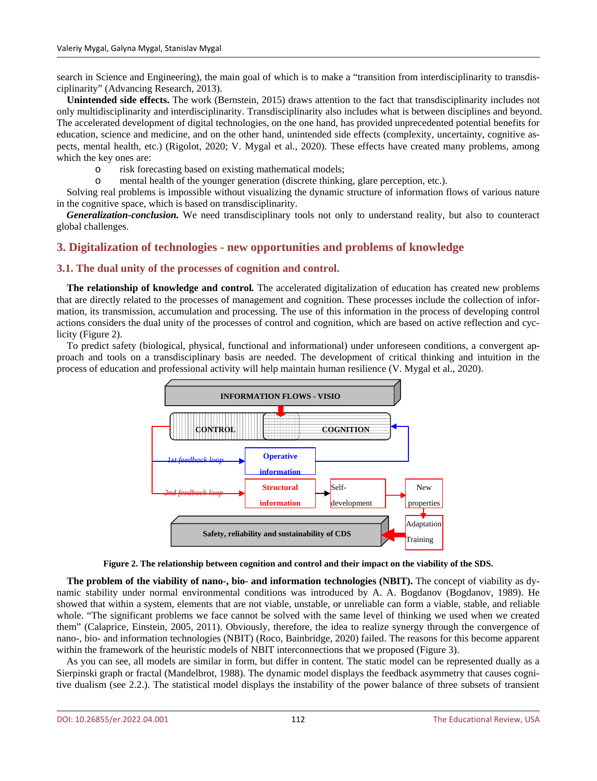search in Science and Engineering), the main goal of which is to make a "transition from interdisciplinarity to transdisciplinarity" (Advancing Research, 2013).

**Unintended side effects.** The work (Bernstein, 2015) draws attention to the fact that transdisciplinarity includes not only multidisciplinarity and interdisciplinarity. Transdisciplinarity also includes what is between disciplines and beyond. The accelerated development of digital technologies, on the one hand, has provided unprecedented potential benefits for education, science and medicine, and on the other hand, unintended side effects (complexity, uncertainty, cognitive aspects, mental health, etc.) [\(Rigolot,](https://www.nature.com/articles/s41599-020-00598-5#auth-Cyrille-Rigolot) 2020; V. Mygal et al., 2020). These effects have created many problems, among which the key ones are:

o risk forecasting based on existing mathematical models;

mental health of the younger generation (discrete thinking, glare perception, etc.).

Solving real problems is impossible without visualizing the dynamic structure of information flows of various nature in the cognitive space, which is based on transdisciplinarity.

*Generalization-conclusion.* We need transdisciplinary tools not only to understand reality, but also to counteract global challenges.

# **3. Digitalization of technologies - new opportunities and problems of knowledge**

#### **3.1. The dual unity of the processes of cognition and control.**

**The relationship of knowledge and control***.* The accelerated digitalization of education has created new problems that are directly related to the processes of management and cognition. These processes include the collection of information, its transmission, accumulation and processing. The use of this information in the process of developing control actions considers the dual unity of the processes of control and cognition, which are based on active reflection and cyclicity (Figure 2).

To predict safety (biological, physical, functional and informational) under unforeseen conditions, a convergent approach and tools on a transdisciplinary basis are needed. The development of critical thinking and intuition in the process of education and professional activity will help maintain human resilience (V. Mygal et al., 2020).



**Figure 2. The relationship between cognition and control and their impact on the viability of the SDS.**

**The problem of the viability of nano-, bio- and information technologies (NBIT).** The concept of viability as dynamic stability under normal environmental conditions was introduced by A. A. Bogdanov (Bogdanov, 1989). He showed that within a system, elements that are not viable, unstable, or unreliable can form a viable, stable, and reliable whole. "The significant problems we face cannot be solved with the same level of thinking we used when we created them" (Calaprice, Einstein, 2005, 2011). Obviously, therefore, the idea to realize synergy through the convergence of nano-, bio- and information technologies (NBIT) (Roco, Bainbridge, 2020) failed. The reasons for this become apparent within the framework of the heuristic models of NBIT interconnections that we proposed (Figure 3).

As you can see, all models are similar in form, but differ in content. The static model can be represented dually as a Sierpinski graph or fractal (Mandelbrot, 1988). The dynamic model displays the feedback asymmetry that causes cognitive dualism (see 2.2.). The statistical model displays the instability of the power balance of three subsets of transient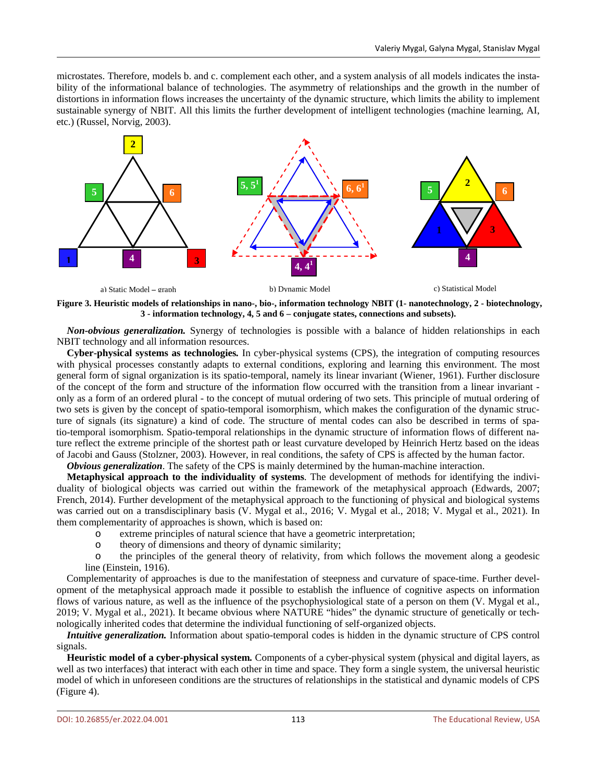microstates. Therefore, models b. and c. complement each other, and a system analysis of all models indicates the instability of the informational balance of technologies. The asymmetry of relationships and the growth in the number of distortions in information flows increases the uncertainty of the dynamic structure, which limits the ability to implement sustainable synergy of NBIT. All this limits the further development of intelligent technologies (machine learning, AI, etc.) (Russel, Norvig, 2003).



**Figure 3. Heuristic models of relationships in nano-, bio-, information technology NBIT (1- nanotechnology, 2 - biotechnology, 3 - information technology, 4, 5 and 6 – conjugate states, connections and subsets).**

*Non-obvious generalization.* Synergy of technologies is possible with a balance of hidden relationships in each NBIT technology and all information resources.

**Cyber-physical systems as technologies***.* In cyber-physical systems (CPS), the integration of computing resources with physical processes constantly adapts to external conditions, exploring and learning this environment. The most general form of signal organization is its spatio-temporal, namely its linear invariant (Wiener, 1961). Further disclosure of the concept of the form and structure of the information flow occurred with the transition from a linear invariant only as a form of an ordered plural - to the concept of mutual ordering of two sets. This principle of mutual ordering of two sets is given by the concept of spatio-temporal isomorphism, which makes the configuration of the dynamic structure of signals (its signature) a kind of code. The structure of mental codes can also be described in terms of spatio-temporal isomorphism. Spatio-temporal relationships in the dynamic structure of information flows of different nature reflect the extreme principle of the shortest path or least curvature developed by Heinrich Hertz based on the ideas of Jacobi and Gauss (Stolzner, 2003). However, in real conditions, the safety of CPS is affected by the human factor.

*Obvious generalization*. The safety of the CPS is mainly determined by the human-machine interaction.

**Metaphysical approach to the individuality of systems**. The development of methods for identifying the individuality of biological objects was carried out within the framework of the metaphysical approach (Edwards, 2007; French, 2014). Further development of the metaphysical approach to the functioning of physical and biological systems was carried out on a transdisciplinary basis (V. Mygal et al., 2016; V. Mygal et al., 2018; V. Mygal et al., 2021). In them complementarity of approaches is shown, which is based on:

- o extreme principles of natural science that have a geometric interpretation;
- o theory of dimensions and theory of dynamic similarity;

the principles of the general theory of relativity, from which follows the movement along a geodesic line (Einstein, 1916).

Complementarity of approaches is due to the manifestation of steepness and curvature of space-time. Further development of the metaphysical approach made it possible to establish the influence of cognitive aspects on information flows of various nature, as well as the influence of the psychophysiological state of a person on them (V. Mygal et al., 2019; V. Mygal et al., 2021). It became obvious where NATURE "hides" the dynamic structure of genetically or technologically inherited codes that determine the individual functioning of self-organized objects.

*Intuitive generalization.* Information about spatio-temporal codes is hidden in the dynamic structure of CPS control signals.

**Heuristic model of a cyber-physical system***.* Components of a cyber-physical system (physical and digital layers, as well as two interfaces) that interact with each other in time and space. They form a single system, the universal heuristic model of which in unforeseen conditions are the structures of relationships in the statistical and dynamic models of CPS (Figure 4).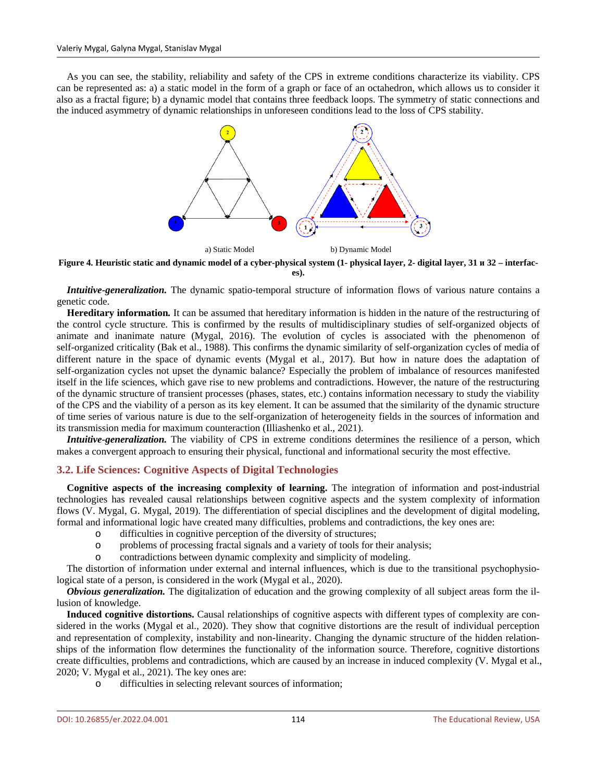As you can see, the stability, reliability and safety of the CPS in extreme conditions characterize its viability. CPS can be represented as: a) a static model in the form of a graph or face of an octahedron, which allows us to consider it also as a fractal figure; b) a dynamic model that contains three feedback loops. The symmetry of static connections and the induced asymmetry of dynamic relationships in unforeseen conditions lead to the loss of CPS stability.



**Figure 4. Heuristic static and dynamic model of a cyber-physical system (1- physical layer, 2- digital layer, 31 и 32 – interfaces).**

*Intuitive-generalization.* The dynamic spatio-temporal structure of information flows of various nature contains a genetic code.

**Нereditary information***.* It can be assumed that hereditary information is hidden in the nature of the restructuring of the control cycle structure. This is confirmed by the results of multidisciplinary studies of self-organized objects of animate and inanimate nature (Mygal, 2016). The evolution of cycles is associated with the phenomenon of self-organized criticality (Bak et al., 1988). This confirms the dynamic similarity of self-organization cycles of media of different nature in the space of dynamic events (Mygal et al., 2017). But how in nature does the adaptation of self-organization cycles not upset the dynamic balance? Especially the problem of imbalance of resources manifested itself in the life sciences, which gave rise to new problems and contradictions. However, the nature of the restructuring of the dynamic structure of transient processes (phases, states, etc.) contains information necessary to study the viability of the CPS and the viability of a person as its key element. It can be assumed that the similarity of the dynamic structure of time series of various nature is due to the self-organization of heterogeneity fields in the sources of information and its transmission media for maximum counteraction (Illiashenko et al., 2021).

*Intuitive-generalization*. The viability of CPS in extreme conditions determines the resilience of a person, which makes a convergent approach to ensuring their physical, functional and informational security the most effective.

#### **3.2. Life Sciences: Cognitive Aspects of Digital Technologies**

**Cognitive aspects of the increasing complexity of learning.** The integration of information and post-industrial technologies has revealed causal relationships between cognitive aspects and the system complexity of information flows (V. Mygal, G. Mygal, 2019). The differentiation of special disciplines and the development of digital modeling, formal and informational logic have created many difficulties, problems and contradictions, the key ones are:

- o difficulties in cognitive perception of the diversity of structures;
- o problems of processing fractal signals and a variety of tools for their analysis;
- o contradictions between dynamic complexity and simplicity of modeling.

The distortion of information under external and internal influences, which is due to the transitional psychophysiological state of a person, is considered in the work (Mygal et al., 2020).

*Obvious generalization.* The digitalization of education and the growing complexity of all subject areas form the illusion of knowledge.

**Induced cognitive distortions.** Causal relationships of cognitive aspects with different types of complexity are considered in the works (Mygal et al., 2020). They show that cognitive distortions are the result of individual perception and representation of complexity, instability and non-linearity. Changing the dynamic structure of the hidden relationships of the information flow determines the functionality of the information source. Therefore, cognitive distortions create difficulties, problems and contradictions, which are caused by an increase in induced complexity (V. Mygal et al., 2020; V. Mygal et al., 2021). The key ones are:

o difficulties in selecting relevant sources of information;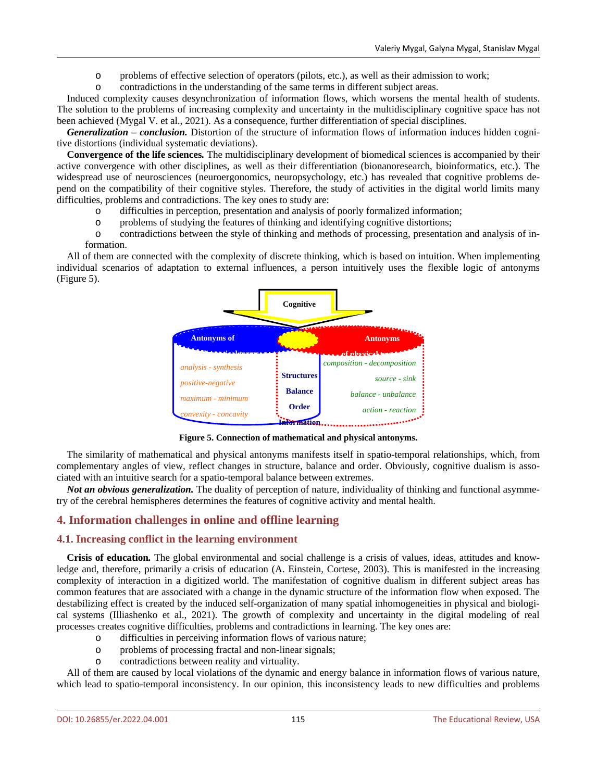- o problems of effective selection of operators (pilots, etc.), as well as their admission to work;
- contradictions in the understanding of the same terms in different subject areas.

Induced complexity causes desynchronization of information flows, which worsens the mental health of students. The solution to the problems of increasing complexity and uncertainty in the multidisciplinary cognitive space has not been achieved (Mygal V. et al., 2021). As a consequence, further differentiation of special disciplines.

*Generalization – conclusion.* Distortion of the structure of information flows of information induces hidden cognitive distortions (individual systematic deviations).

**Convergence of the life sciences***.* The multidisciplinary development of biomedical sciences is accompanied by their active convergence with other disciplines, as well as their differentiation (bionanoresearch, bioinformatics, etc.). The widespread use of neurosciences (neuroergonomics, neuropsychology, etc.) has revealed that cognitive problems depend on the compatibility of their cognitive styles. Therefore, the study of activities in the digital world limits many difficulties, problems and contradictions. The key ones to study are:

- o difficulties in perception, presentation and analysis of poorly formalized information;
- o problems of studying the features of thinking and identifying cognitive distortions;

o contradictions between the style of thinking and methods of processing, presentation and analysis of information.

All of them are connected with the complexity of discrete thinking, which is based on intuition. When implementing individual scenarios of adaptation to external influences, a person intuitively uses the flexible logic of antonyms (Figure 5).



**Figure 5. Connection of mathematical and physical antonyms.**

The similarity of mathematical and physical antonyms manifests itself in spatio-temporal relationships, which, from complementary angles of view, reflect changes in structure, balance and order. Obviously, cognitive dualism is associated with an intuitive search for a spatio-temporal balance between extremes.

*Not an obvious generalization.* The duality of perception of nature, individuality of thinking and functional asymmetry of the cerebral hemispheres determines the features of cognitive activity and mental health.

# **4. Information challenges in online and offline learning**

# **4.1. Increasing conflict in the learning environment**

**Crisis of education***.* The global environmental and social challenge is a crisis of values, ideas, attitudes and knowledge and, therefore, primarily a crisis of education (A. Einstein, Cortese, 2003). This is manifested in the increasing complexity of interaction in a digitized world. The manifestation of cognitive dualism in different subject areas has common features that are associated with a change in the dynamic structure of the information flow when exposed. The destabilizing effect is created by the induced self-organization of many spatial inhomogeneities in physical and biological systems (Illiashenko et al., 2021). The growth of complexity and uncertainty in the digital modeling of real processes creates cognitive difficulties, problems and contradictions in learning. The key ones are:

- 
- o difficulties in perceiving information flows of various nature; problems of processing fractal and non-linear signals;
- o contradictions between reality and virtuality.

All of them are caused by local violations of the dynamic and energy balance in information flows of various nature, which lead to spatio-temporal inconsistency. In our opinion, this inconsistency leads to new difficulties and problems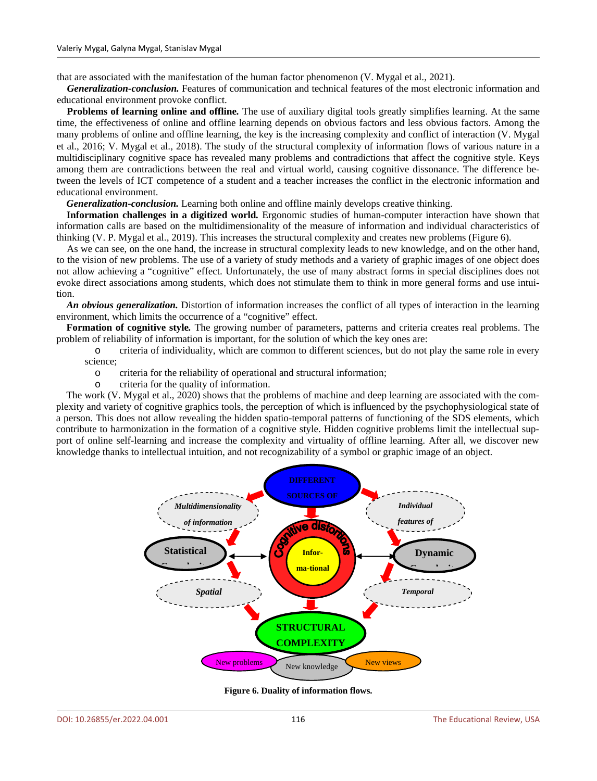that are associated with the manifestation of the human factor phenomenon (V. Mygal et al., 2021).

*Generalization-conclusion.* Features of communication and technical features of the most electronic information and educational environment provoke conflict.

**Problems of learning online and offline***.* The use of auxiliary digital tools greatly simplifies learning. At the same time, the effectiveness of online and offline learning depends on obvious factors and less obvious factors. Among the many problems of online and offline learning, the key is the increasing complexity and conflict of interaction (V. Mygal et al., 2016; V. Mygal et al., 2018). The study of the structural complexity of information flows of various nature in a multidisciplinary cognitive space has revealed many problems and contradictions that affect the cognitive style. Keys among them are contradictions between the real and virtual world, causing cognitive dissonance. The difference between the levels of ICT competence of a student and a teacher increases the conflict in the electronic information and educational environment.

*Generalization-conclusion.* Learning both online and offline mainly develops creative thinking.

**Information challenges in a digitized world***.* Ergonomic studies of human-computer interaction have shown that information calls are based on the multidimensionality of the measure of information and individual characteristics of thinking (V. P. Mygal et al., 2019). This increases the structural complexity and creates new problems (Figure 6).

As we can see, on the one hand, the increase in structural complexity leads to new knowledge, and on the other hand, to the vision of new problems. The use of a variety of study methods and a variety of graphic images of one object does not allow achieving a "cognitive" effect. Unfortunately, the use of many abstract forms in special disciplines does not evoke direct associations among students, which does not stimulate them to think in more general forms and use intuition.

*An obvious generalization.* Distortion of information increases the conflict of all types of interaction in the learning environment, which limits the occurrence of a "cognitive" effect.

**Formation of cognitive style***.* The growing number of parameters, patterns and criteria creates real problems. The problem of reliability of information is important, for the solution of which the key ones are:

o criteria of individuality, which are common to different sciences, but do not play the same role in every science;

- o criteria for the reliability of operational and structural information;
- criteria for the quality of information.

The work (V. Mygal et al., 2020) shows that the problems of machine and deep learning are associated with the complexity and variety of cognitive graphics tools, the perception of which is influenced by the psychophysiological state of a person. This does not allow revealing the hidden spatio-temporal patterns of functioning of the SDS elements, which contribute to harmonization in the formation of a cognitive style. Hidden cognitive problems limit the intellectual support of online self-learning and increase the complexity and virtuality of offline learning. After all, we discover new knowledge thanks to intellectual intuition, and not recognizability of a symbol or graphic image of an object.



**Figure 6. Duality of information flows.**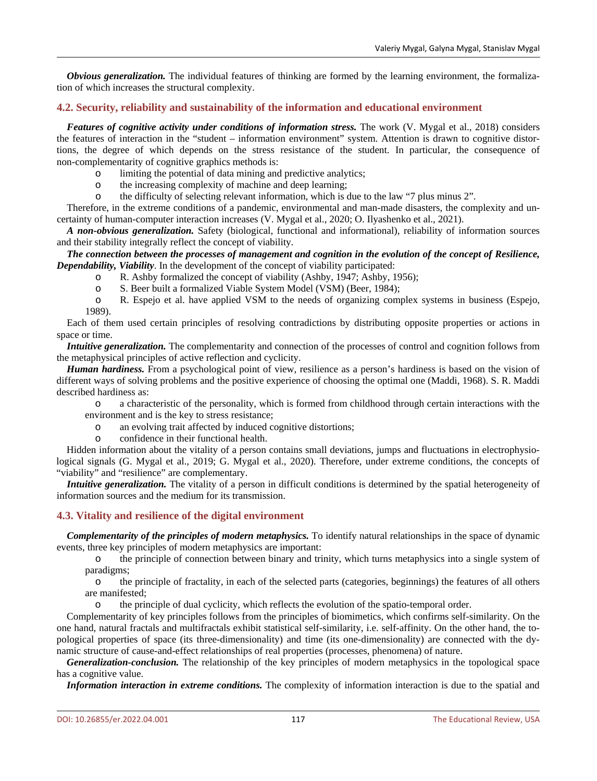*Obvious generalization.* The individual features of thinking are formed by the learning environment, the formalization of which increases the structural complexity.

# **4.2. Security, reliability and sustainability of the information and educational environment**

*Features of cognitive activity under conditions of information stress.* The work (V. Mygal et al., 2018) considers the features of interaction in the "student – information environment" system. Attention is drawn to cognitive distortions, the degree of which depends on the stress resistance of the student. In particular, the consequence of non-complementarity of cognitive graphics methods is:

- o limiting the potential of data mining and predictive analytics;
- o the increasing complexity of machine and deep learning;
- the difficulty of selecting relevant information, which is due to the law "7 plus minus 2".

Therefore, in the extreme conditions of a pandemic, environmental and man-made disasters, the complexity and uncertainty of human-computer interaction increases (V. Mygal et al., 2020; O. Ilyashenko et al., 2021).

*A non-obvious generalization.* Safety (biological, functional and informational), reliability of information sources and their stability integrally reflect the concept of viability.

#### The connection between the processes of management and cognition in the evolution of the concept of Resilience, *Dependability, Viability*. In the development of the concept of viability participated:

- o R. Ashby formalized the concept of viability (Ashby, 1947; Ashby, 1956);
- o S. Beer built a formalized Viable System Model (VSM) (Beer, 1984);<br>
o R. Espeio et al. have applied VSM to the needs of organizing comm

R. Espejo et al. have applied VSM to the needs of organizing complex systems in business (Espejo, 1989).

Each of them used certain principles of resolving contradictions by distributing opposite properties or actions in space or time.

*Intuitive generalization.* The complementarity and connection of the processes of control and cognition follows from the metaphysical principles of active reflection and cyclicity.

*Human hardiness.* From a psychological point of view, resilience as a person's hardiness is based on the vision of different ways of solving problems and the positive experience of choosing the optimal one (Maddi, 1968). S. R. Maddi described hardiness as:

o a characteristic of the personality, which is formed from childhood through certain interactions with the environment and is the key to stress resistance;

- o an evolving trait affected by induced cognitive distortions;
- confidence in their functional health.

Hidden information about the vitality of a person contains small deviations, jumps and fluctuations in electrophysiological signals (G. Mygal et al., 2019; G. Mygal et al., 2020). Therefore, under extreme conditions, the concepts of "viability" and "resilience" are complementary.

*Intuitive generalization*. The vitality of a person in difficult conditions is determined by the spatial heterogeneity of information sources and the medium for its transmission.

# **4.3. Vitality and resilience of the digital environment**

*Complementarity of the principles of modern metaphysics.* To identify natural relationships in the space of dynamic events, three key principles of modern metaphysics are important:

o the principle of connection between binary and trinity, which turns metaphysics into a single system of paradigms;

o the principle of fractality, in each of the selected parts (categories, beginnings) the features of all others are manifested;

o the principle of dual cyclicity, which reflects the evolution of the spatio-temporal order.

Complementarity of key principles follows from the principles of biomimetics, which confirms self-similarity. On the one hand, natural fractals and multifractals exhibit statistical self-similarity, i.e. self-affinity. On the other hand, the topological properties of space (its three-dimensionality) and time (its one-dimensionality) are connected with the dynamic structure of cause-and-effect relationships of real properties (processes, phenomena) of nature.

*Generalization-conclusion.* The relationship of the key principles of modern metaphysics in the topological space has a cognitive value.

*Information interaction in extreme conditions.* The complexity of information interaction is due to the spatial and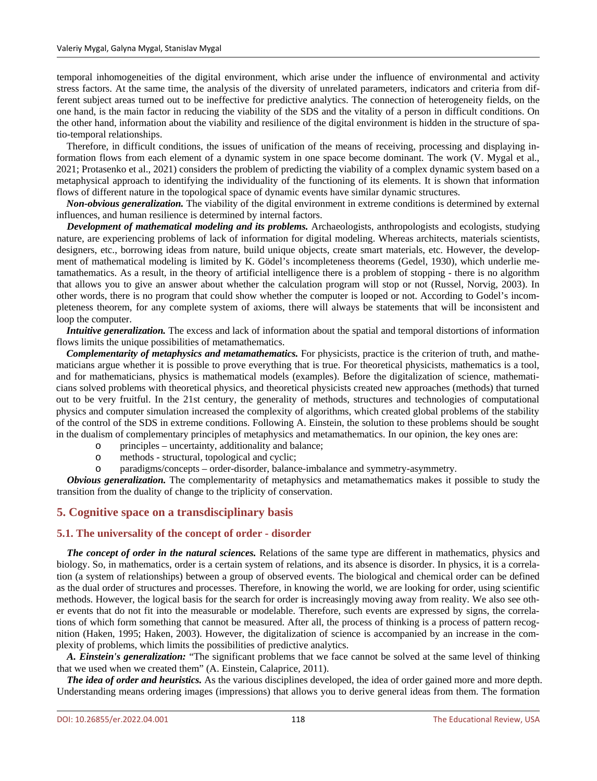temporal inhomogeneities of the digital environment, which arise under the influence of environmental and activity stress factors. At the same time, the analysis of the diversity of unrelated parameters, indicators and criteria from different subject areas turned out to be ineffective for predictive analytics. The connection of heterogeneity fields, on the one hand, is the main factor in reducing the viability of the SDS and the vitality of a person in difficult conditions. On the other hand, information about the viability and resilience of the digital environment is hidden in the structure of spatio-temporal relationships.

Therefore, in difficult conditions, the issues of unification of the means of receiving, processing and displaying information flows from each element of a dynamic system in one space become dominant. The work (V. Mygal et al., 2021; Protasenko et al., 2021) considers the problem of predicting the viability of a complex dynamic system based on a metaphysical approach to identifying the individuality of the functioning of its elements. It is shown that information flows of different nature in the topological space of dynamic events have similar dynamic structures.

*Non-obvious generalization.* The viability of the digital environment in extreme conditions is determined by external influences, and human resilience is determined by internal factors.

*Development of mathematical modeling and its problems.* Archaeologists, anthropologists and ecologists, studying nature, are experiencing problems of lack of information for digital modeling. Whereas architects, materials scientists, designers, etc., borrowing ideas from nature, build unique objects, create smart materials, etc. However, the development of mathematical modeling is limited by K. Gödel's incompleteness theorems (Gedel, 1930), which underlie metamathematics. As a result, in the theory of artificial intelligence there is a problem of stopping - there is no algorithm that allows you to give an answer about whether the calculation program will stop or not (Russel, Norvig, 2003). In other words, there is no program that could show whether the computer is looped or not. According to Godel's incompleteness theorem, for any complete system of axioms, there will always be statements that will be inconsistent and loop the computer.

*Intuitive generalization.* The excess and lack of information about the spatial and temporal distortions of information flows limits the unique possibilities of metamathematics.

*Complementarity of metaphysics and metamathematics.* For physicists, practice is the criterion of truth, and mathematicians argue whether it is possible to prove everything that is true. For theoretical physicists, mathematics is a tool, and for mathematicians, physics is mathematical models (examples). Before the digitalization of science, mathematicians solved problems with theoretical physics, and theoretical physicists created new approaches (methods) that turned out to be very fruitful. In the 21st century, the generality of methods, structures and technologies of computational physics and computer simulation increased the complexity of algorithms, which created global problems of the stability of the control of the SDS in extreme conditions. Following A. Einstein, the solution to these problems should be sought in the dualism of complementary principles of metaphysics and metamathematics. In our opinion, the key ones are:

- o principles uncertainty, additionality and balance;
- methods structural, topological and cyclic;
- o paradigms/concepts order-disorder, balance-imbalance and symmetry-asymmetry.

*Obvious generalization.* The complementarity of metaphysics and metamathematics makes it possible to study the transition from the duality of change to the triplicity of conservation.

#### **5. Cognitive space on a transdisciplinary basis**

#### **5.1. The universality of the concept of order - disorder**

*The concept of order in the natural sciences.* Relations of the same type are different in mathematics, physics and biology. So, in mathematics, order is a certain system of relations, and its absence is disorder. In physics, it is a correlation (a system of relationships) between a group of observed events. The biological and chemical order can be defined as the dual order of structures and processes. Therefore, in knowing the world, we are looking for order, using scientific methods. However, the logical basis for the search for order is increasingly moving away from reality. We also see other events that do not fit into the measurable or modelable. Therefore, such events are expressed by signs, the correlations of which form something that cannot be measured. After all, the process of thinking is a process of pattern recognition (Haken, 1995; Haken, 2003). However, the digitalization of science is accompanied by an increase in the complexity of problems, which limits the possibilities of predictive analytics.

*A. Einstein's generalization:* "The significant problems that we face cannot be solved at the same level of thinking that we used when we created them" (A. Einstein, Calaprice, 2011).

*The idea of order and heuristics.* As the various disciplines developed, the idea of order gained more and more depth. Understanding means ordering images (impressions) that allows you to derive general ideas from them. The formation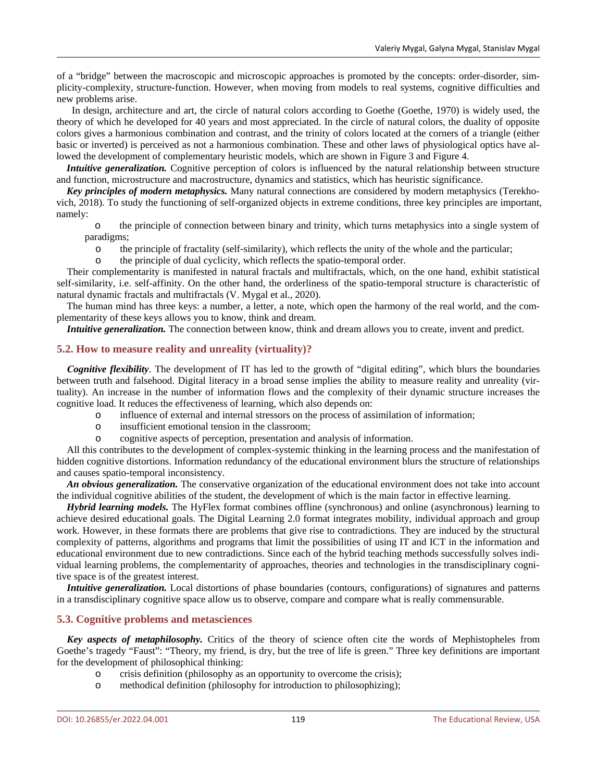of a "bridge" between the macroscopic and microscopic approaches is promoted by the concepts: order-disorder, simplicity-complexity, structure-function. However, when moving from models to real systems, cognitive difficulties and new problems arise.

In design, architecture and art, the circle of natural colors according to Goethe (Goethe, 1970) is widely used, the theory of which he developed for 40 years and most appreciated. In the circle of natural colors, the duality of opposite colors gives a harmonious combination and contrast, and the trinity of colors located at the corners of a triangle (either basic or inverted) is perceived as not a harmonious combination. These and other laws of physiological optics have allowed the development of complementary heuristic models, which are shown in Figure 3 and Figure 4.

*Intuitive generalization*. Cognitive perception of colors is influenced by the natural relationship between structure and function, microstructure and macrostructure, dynamics and statistics, which has heuristic significance.

*Key principles of modern metaphysics.* Many natural connections are considered by modern metaphysics (Terekhovich, 2018). To study the functioning of self-organized objects in extreme conditions, three key principles are important, namely:

o the principle of connection between binary and trinity, which turns metaphysics into a single system of paradigms;

o the principle of fractality (self-similarity), which reflects the unity of the whole and the particular;<br>the principle of dual evolicity, which reflects the spatio-temporal order.

the principle of dual cyclicity, which reflects the spatio-temporal order.

Their complementarity is manifested in natural fractals and multifractals, which, on the one hand, exhibit statistical self-similarity, i.e. self-affinity. On the other hand, the orderliness of the spatio-temporal structure is characteristic of natural dynamic fractals and multifractals (V. Mygal et al., 2020).

The human mind has three keys: a number, a letter, a note, which open the harmony of the real world, and the complementarity of these keys allows you to know, think and dream.

*Intuitive generalization.* The connection between know, think and dream allows you to create, invent and predict.

#### **5.2. How to measure reality and unreality (virtuality)?**

*Сognitive flexibility*. The development of IT has led to the growth of "digital editing", which blurs the boundaries between truth and falsehood. Digital literacy in a broad sense implies the ability to measure reality and unreality (virtuality). An increase in the number of information flows and the complexity of their dynamic structure increases the cognitive load. It reduces the effectiveness of learning, which also depends on:

- o influence of external and internal stressors on the process of assimilation of information;
- o insufficient emotional tension in the classroom;
- o cognitive aspects of perception, presentation and analysis of information.

All this contributes to the development of complex-systemic thinking in the learning process and the manifestation of hidden cognitive distortions. Information redundancy of the educational environment blurs the structure of relationships and causes spatio-temporal inconsistency.

*An obvious generalization.* The conservative organization of the educational environment does not take into account the individual cognitive abilities of the student, the development of which is the main factor in effective learning.

*Hybrid learning models.* The HyFlex format combines offline (synchronous) and online (asynchronous) learning to achieve desired educational goals. The Digital Learning 2.0 format integrates mobility, individual approach and group work. However, in these formats there are problems that give rise to contradictions. They are induced by the structural complexity of patterns, algorithms and programs that limit the possibilities of using IT and ICT in the information and educational environment due to new contradictions. Since each of the hybrid teaching methods successfully solves individual learning problems, the complementarity of approaches, theories and technologies in the transdisciplinary cognitive space is of the greatest interest.

*Intuitive generalization.* Local distortions of phase boundaries (contours, configurations) of signatures and patterns in a transdisciplinary cognitive space allow us to observe, compare and compare what is really commensurable.

#### **5.3. Cognitive problems and metasciences**

*Key aspects of metaphilosophy.* Critics of the theory of science often cite the words of Mephistopheles from Goethe's tragedy "Faust": "Theory, my friend, is dry, but the tree of life is green." Three key definitions are important for the development of philosophical thinking:

- o crisis definition (philosophy as an opportunity to overcome the crisis);
- o methodical definition (philosophy for introduction to philosophizing);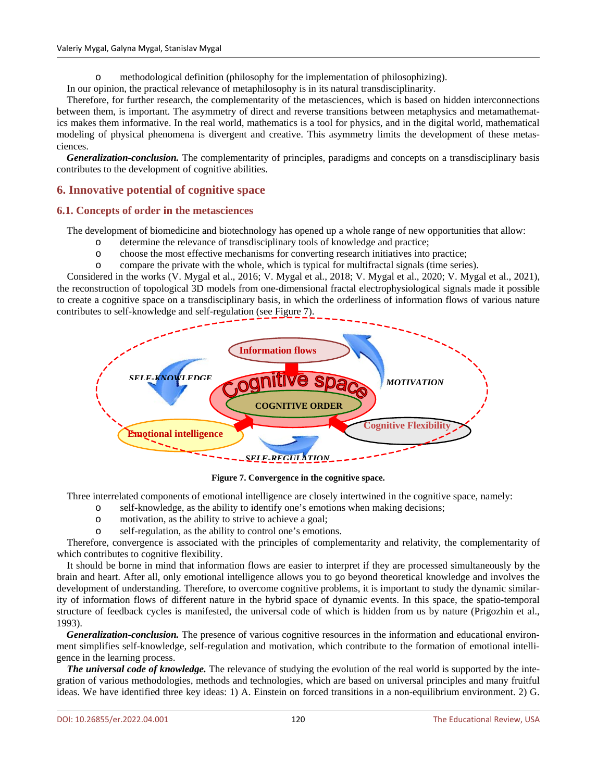methodological definition (philosophy for the implementation of philosophizing).

In our opinion, the practical relevance of metaphilosophy is in its natural transdisciplinarity.

Therefore, for further research, the complementarity of the metasciences, which is based on hidden interconnections between them, is important. The asymmetry of direct and reverse transitions between metaphysics and metamathematics makes them informative. In the real world, mathematics is a tool for physics, and in the digital world, mathematical modeling of physical phenomena is divergent and creative. This asymmetry limits the development of these metasciences.

*Generalization-conclusion.* The complementarity of principles, paradigms and concepts on a transdisciplinary basis contributes to the development of cognitive abilities.

# **6. Innovative potential of cognitive space**

# **6.1. Concepts of order in the metasciences**

The development of biomedicine and biotechnology has opened up a whole range of new opportunities that allow:

- o determine the relevance of transdisciplinary tools of knowledge and practice;
- choose the most effective mechanisms for converting research initiatives into practice;
- o compare the private with the whole, which is typical for multifractal signals (time series).

Considered in the works (V. Mygal et al., 2016; V. Mygal et al., 2018; V. Mygal et al., 2020; V. Mygal et al., 2021), the reconstruction of topological 3D models from one-dimensional fractal electrophysiological signals made it possible to create a cognitive space on a transdisciplinary basis, in which the orderliness of information flows of various nature contributes to self-knowledge and self-regulation (see Figure 7).



**Figure 7. Convergence in the cognitive space.**

Three interrelated components of emotional intelligence are closely intertwined in the cognitive space, namely:

- o self-knowledge, as the ability to identify one's emotions when making decisions;
- o motivation, as the ability to strive to achieve a goal;
- self-regulation, as the ability to control one's emotions.

Therefore, convergence is associated with the principles of complementarity and relativity, the complementarity of which contributes to cognitive flexibility.

It should be borne in mind that information flows are easier to interpret if they are processed simultaneously by the brain and heart. After all, only emotional intelligence allows you to go beyond theoretical knowledge and involves the development of understanding. Therefore, to overcome cognitive problems, it is important to study the dynamic similarity of information flows of different nature in the hybrid space of dynamic events. In this space, the spatio-temporal structure of feedback cycles is manifested, the universal code of which is hidden from us by nature (Prigozhin et al., 1993).

*Generalization-conclusion.* The presence of various cognitive resources in the information and educational environment simplifies self-knowledge, self-regulation and motivation, which contribute to the formation of emotional intelligence in the learning process.

*The universal code of knowledge.* The relevance of studying the evolution of the real world is supported by the integration of various methodologies, methods and technologies, which are based on universal principles and many fruitful ideas. We have identified three key ideas: 1) A. Einstein on forced transitions in a non-equilibrium environment. 2) G.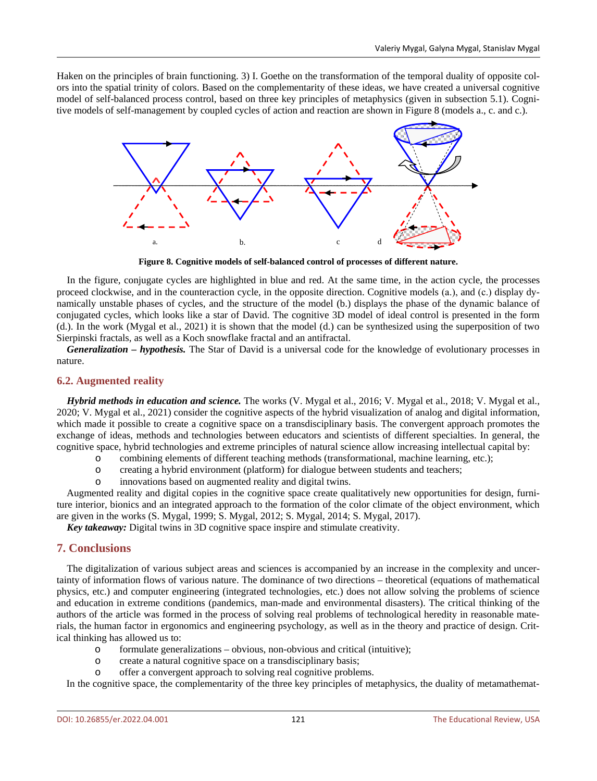Haken on the principles of brain functioning. 3) I. Goethe on the transformation of the temporal duality of opposite colors into the spatial trinity of colors. Based on the complementarity of these ideas, we have created a universal cognitive model of self-balanced process control, based on three key principles of metaphysics (given in subsection 5.1). Cognitive models of self-management by coupled cycles of action and reaction are shown in Figure 8 (models a., c. and c.).



**Figure 8. Cognitive models of self-balanced control of processes of different nature.**

In the figure, conjugate cycles are highlighted in blue and red. At the same time, in the action cycle, the processes proceed clockwise, and in the counteraction cycle, in the opposite direction. Cognitive models (а.), and (с.) display dynamically unstable phases of cycles, and the structure of the model (b.) displays the phase of the dynamic balance of conjugated cycles, which looks like a star of David. The cognitive 3D model of ideal control is presented in the form (d.). In the work (Mygal et al., 2021) it is shown that the model (d.) can be synthesized using the superposition of two Sierpinski fractals, as well as a Koch snowflake fractal and an antifractal.

*Generalization – hypothesis.* The Star of David is a universal code for the knowledge of evolutionary processes in nature.

#### **6.2. Augmented reality**

*Hybrid methods in education and science.* The works (V. Mygal et al., 2016; V. Mygal et al., 2018; V. Mygal et al., 2020; V. Mygal et al., 2021) consider the cognitive aspects of the hybrid visualization of analog and digital information, which made it possible to create a cognitive space on a transdisciplinary basis. The convergent approach promotes the exchange of ideas, methods and technologies between educators and scientists of different specialties. In general, the cognitive space, hybrid technologies and extreme principles of natural science allow increasing intellectual capital by:

- o combining elements of different teaching methods (transformational, machine learning, etc.);
- o creating a hybrid environment (platform) for dialogue between students and teachers;
- o innovations based on augmented reality and digital twins.

Augmented reality and digital copies in the cognitive space create qualitatively new opportunities for design, furniture interior, bionics and an integrated approach to the formation of the color climate of the object environment, which are given in the works (S. Mygal, 1999; S. Mygal, 2012; S. Mygal, 2014; S. Mygal, 2017).

*Key takeaway:* Digital twins in 3D cognitive space inspire and stimulate creativity.

# **7. Conclusions**

The digitalization of various subject areas and sciences is accompanied by an increase in the complexity and uncertainty of information flows of various nature. The dominance of two directions – theoretical (equations of mathematical physics, etc.) and computer engineering (integrated technologies, etc.) does not allow solving the problems of science and education in extreme conditions (pandemics, man-made and environmental disasters). The critical thinking of the authors of the article was formed in the process of solving real problems of technological heredity in reasonable materials, the human factor in ergonomics and engineering psychology, as well as in the theory and practice of design. Critical thinking has allowed us to:

- o formulate generalizations obvious, non-obvious and critical (intuitive); create a natural cognitive space on a transdisciplinary basis:
- create a natural cognitive space on a transdisciplinary basis;
- o offer a convergent approach to solving real cognitive problems.

In the cognitive space, the complementarity of the three key principles of metaphysics, the duality of metamathemat-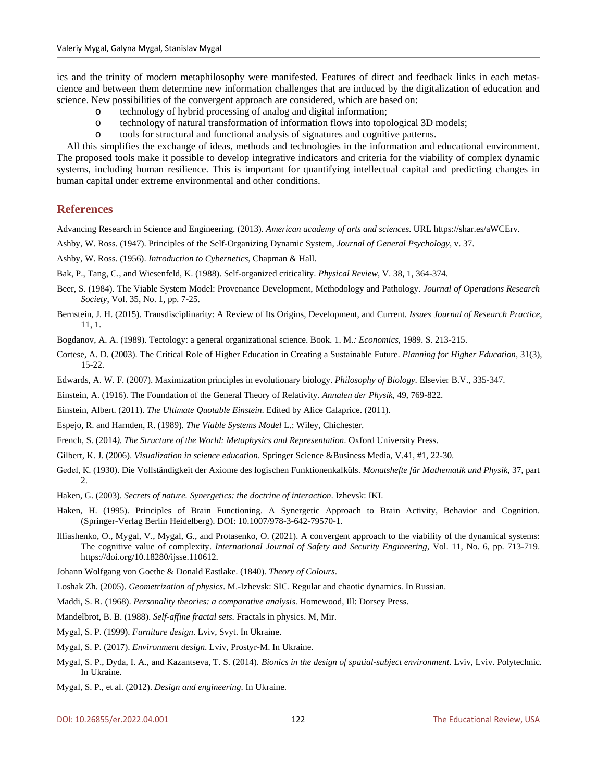ics and the trinity of modern metaphilosophy were manifested. Features of direct and feedback links in each metascience and between them determine new information challenges that are induced by the digitalization of education and science. New possibilities of the convergent approach are considered, which are based on:

- 
- o technology of hybrid processing of analog and digital information; o technology of natural transformation of information flows into topological 3D models;
- o tools for structural and functional analysis of signatures and cognitive patterns.

All this simplifies the exchange of ideas, methods and technologies in the information and educational environment. The proposed tools make it possible to develop integrative indicators and criteria for the viability of complex dynamic systems, including human resilience. This is important for quantifying intellectual capital and predicting changes in human capital under extreme environmental and other conditions.

#### **References**

Advancing Research in Science and Engineering. (2013). *American academy of arts and sciences*. URL https://shar.es/aWCErv.

Ashby, W. Ross. (1947). Principles of the Self-Organizing Dynamic System, *Journal of General Psychology*, v. 37.

Ashby, W. Ross. (1956). *Introduction to Cybernetics*, Chapman & Hall.

Bak, P., Tang, C., and Wiesenfeld, K. (1988). Self-organized criticality. *Physical Review*, V. 38, 1, 364-374.

- Beer, S. (1984). The Viable System Model: Provenance Development, Methodology and Pathology. *Journal of Operations Research Society*, Vol. 35, No. 1, pр. 7-25.
- Bernstein, J. H. (2015). Transdisciplinarity: A Review of Its Origins, Development, and Current. *Issues Journal of Research Practice*, 11, 1.

Bogdanov, A. A. (1989). Tectology: a general organizational science. Book. 1. M*.: Economics*, 1989. S. 213-215.

- Cortese, A. D. (2003). The Critical Role of Higher Education in Creating a Sustainable Future. *Planning for Higher Education*, 31(3), 15-22.
- Edwards, A. W. F. (2007). Maximization principles in evolutionary biology. *Philosophy of Biology*. Elsevier B.V., 335-347.
- Einstein, A. (1916). The Foundation of the General Theory of Relativity. *Annalen der Physik*, 49, 769-822.
- Einstein, Albert. (2011). *The Ultimate Quotable Einstein*. Edited by Alice Calaprice. (2011).
- Espejo, R. and Harnden, R. (1989). *The Viable Systems Model* L.: Wiley, Chichester.
- French, S. (2014*). The Structure of the World: Metaphysics and Representation*. Oxford University Press.
- Gilbert, K. J. (2006). *Visualization in science education*. Springer Science &Business Media, V.41, #1, 22-30.
- Gеdеl, К. (1930). Die Vollständigkeit der Axiome des logischen Funktionenkalküls. *Monatshefte für Mathematik und Physik*, 37, part 2.
- Haken, G. (2003). *Secrets of nature. Synergetics: the doctrine of interaction*. Izhevsk: IKI.
- Haken, H. (1995). Principles of Brain Functioning. A Synergetic Approach to Brain Activity, Behavior and Cognition. (Springer-Verlag Berlin Heidelberg). DOI: 10.1007/978-3-642-79570-1.
- Illiashenko, O., Mygal, V., Mygal, G., and Protasenko, O. (2021). A convergent approach to the viability of the dynamical systems: The cognitive value of complexity. *International Journal of Safety and Security Engineering*, Vol. 11, No. 6, pp. 713-719. https://doi.org/10.18280/ijsse.110612.
- Johann Wolfgang von Goethe & Donald Eastlake. (1840). *Theory of Colours*.
- Loshak Zh. (2005). *Geometrization of physics*. M.-Izhevsk: SIC. Regular and chaotic dynamics. In Russian.
- Maddi, S. R. (1968). *Personality theories: a comparative analysis*. Homewood, Ill: Dorsey Press.
- Mandelbrot, B. B. (1988). *Self-affine fractal sets*. Fractals in physics. M, Mir.
- Mygal, S. P. (1999). *Furniture design*. Lviv, Svyt. In Ukraine.
- Mygal, S. P. (2017). *Environment design*. Lviv, Prostyr-M. In Ukraine.
- Mygal, S. P., Dyda, I. A., and Kazantseva, T. S. (2014). *Bionics in the design of spatial-subject environment*. Lviv, Lviv. Polytechnic. In Ukraine.
- Mygal, S. P., et al. (2012). *Design and engineering*. In Ukraine.